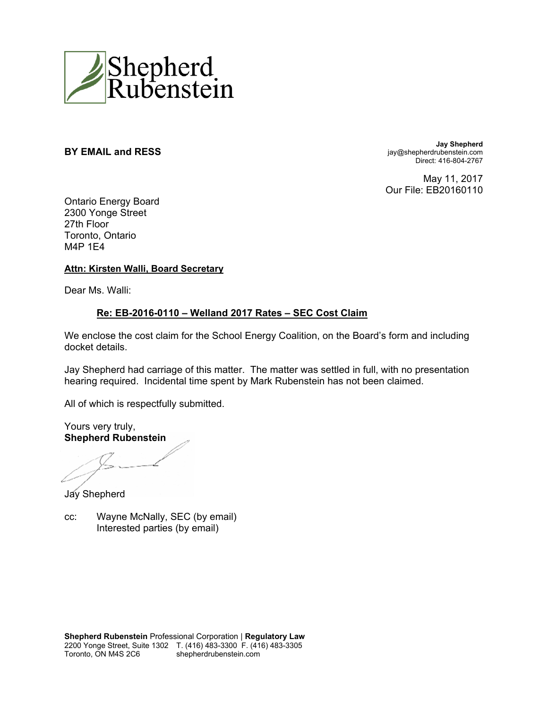

**BY EMAIL and RESS Jay Shepherd** jay@shepherdrubenstein.com Direct: 416-804-2767

> May 11, 2017 Our File: EB20160110

Ontario Energy Board 2300 Yonge Street 27th Floor Toronto, Ontario M4P 1E4

#### **Attn: Kirsten Walli, Board Secretary**

Dear Ms. Walli:

#### **Re: EB-2016-0110 – Welland 2017 Rates – SEC Cost Claim**

We enclose the cost claim for the School Energy Coalition, on the Board's form and including docket details.

Jay Shepherd had carriage of this matter. The matter was settled in full, with no presentation hearing required. Incidental time spent by Mark Rubenstein has not been claimed.

All of which is respectfully submitted.

Yours very truly, **Shepherd Rubenstein** 

Jay Shepherd

cc: Wayne McNally, SEC (by email) Interested parties (by email)

**Shepherd Rubenstein** Professional Corporation | **Regulatory Law** 2200 Yonge Street, Suite 1302 T. (416) 483-3300 F. (416) 483-3305 Toronto, ON M4S 2C6 shepherdrubenstein.com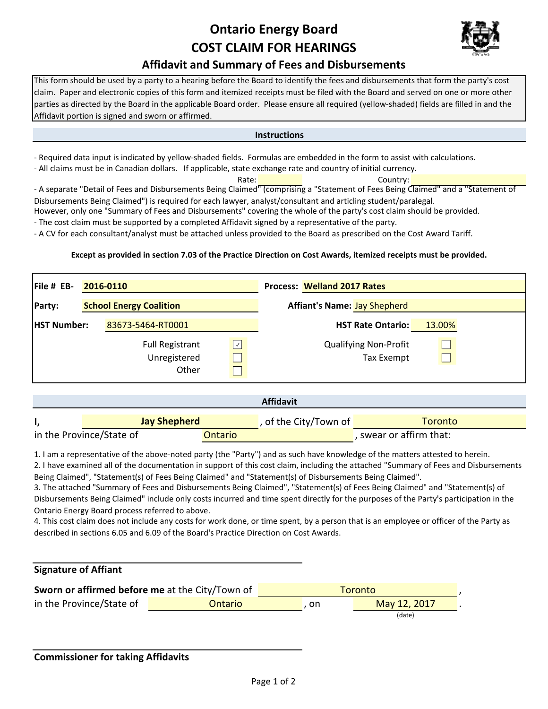# **Ontario Energy Board COST CLAIM FOR HEARINGS**



#### **Affidavit and Summary of Fees and Disbursements**

This form should be used by a party to a hearing before the Board to identify the fees and disbursements that form the party's cost claim. Paper and electronic copies of this form and itemized receipts must be filed with the Board and served on one or more other parties as directed by the Board in the applicable Board order. Please ensure all required (yellow‐shaded) fields are filled in and the Affidavit portion is signed and sworn or affirmed.

**Instructions**

‐ Required data input is indicated by yellow‐shaded fields. Formulas are embedded in the form to assist with calculations.

‐ All claims must be in Canadian dollars. If applicable, state exchange rate and country of initial currency.

Rate: **National Country:** Country: ‐ A separate "Detail of Fees and Disbursements Being Claimed" (comprising a "Statement of Fees Being Claimed" and a "Statement of Disbursements Being Claimed") is required for each lawyer, analyst/consultant and articling student/paralegal.

However, only one "Summary of Fees and Disbursements" covering the whole of the party's cost claim should be provided.

‐ The cost claim must be supported by a completed Affidavit signed by a representative of the party.

‐ A CV for each consultant/analyst must be attached unless provided to the Board as prescribed on the Cost Award Tariff.

#### **Except as provided in section 7.03 of the Practice Direction on Cost Awards, itemized receipts must be provided.**

| File # EB-         | 2016-0110                                       |              | <b>Process: Welland 2017 Rates</b> |                                                   |        |  |
|--------------------|-------------------------------------------------|--------------|------------------------------------|---------------------------------------------------|--------|--|
| Party:             | <b>School Energy Coalition</b>                  |              |                                    | <b>Affiant's Name: Jay Shepherd</b>               |        |  |
| <b>HST Number:</b> | 83673-5464-RT0001                               |              |                                    | <b>HST Rate Ontario:</b>                          | 13.00% |  |
|                    | <b>Full Registrant</b><br>Unregistered<br>Other | $\checkmark$ |                                    | <b>Qualifying Non-Profit</b><br><b>Tax Exempt</b> |        |  |

| <b>Affidavit</b>                    |  |                       |                         |  |  |  |  |
|-------------------------------------|--|-----------------------|-------------------------|--|--|--|--|
| <b>Jay Shepherd</b>                 |  | , of the City/Town of | Toronto                 |  |  |  |  |
| in the Province/State of<br>Ontario |  |                       | , swear or affirm that: |  |  |  |  |

1. I am a representative of the above‐noted party (the "Party") and as such have knowledge of the matters attested to herein.

2. I have examined all of the documentation in support of this cost claim, including the attached "Summary of Fees and Disbursements Being Claimed", "Statement(s) of Fees Being Claimed" and "Statement(s) of Disbursements Being Claimed".

3. The attached "Summary of Fees and Disbursements Being Claimed", "Statement(s) of Fees Being Claimed" and "Statement(s) of Disbursements Being Claimed" include only costs incurred and time spent directly for the purposes of the Party's participation in the Ontario Energy Board process referred to above.

4. This cost claim does not include any costs for work done, or time spent, by a person that is an employee or officer of the Party as described in sections 6.05 and 6.09 of the Board's Practice Direction on Cost Awards.

#### **Signature of Affiant**

| Sworn or affirmed before me at the City/Town of |         | Toronto |              |  |  |
|-------------------------------------------------|---------|---------|--------------|--|--|
| in the Province/State of                        | Ontario | . on    | May 12, 2017 |  |  |
|                                                 |         |         | (date)       |  |  |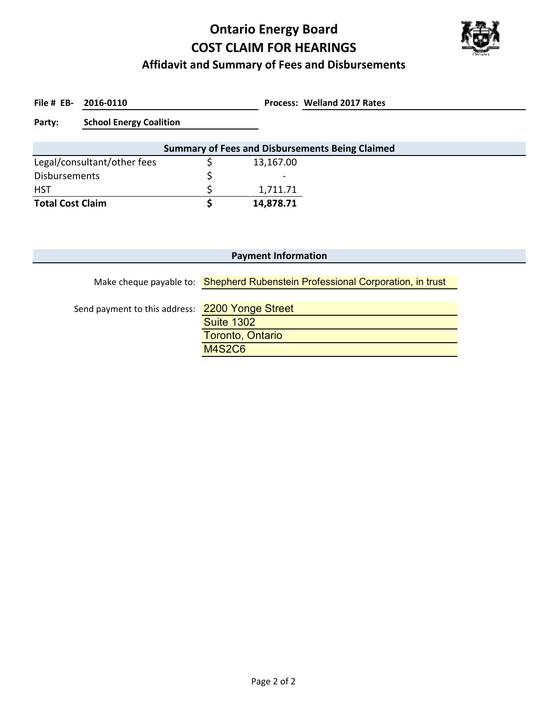# **Ontario Energy Board COST CLAIM FOR HEARINGS**



### **Affidavit and Summary of Fees and Disbursements**

File # EB- 2016-0110

**2016‐0110 Welland 2017 Rates**

**Party: School Energy Coalition**

| <b>Summary of Fees and Disbursements Being Claimed</b> |  |                          |  |  |  |  |
|--------------------------------------------------------|--|--------------------------|--|--|--|--|
| Legal/consultant/other fees                            |  | 13,167.00                |  |  |  |  |
| <b>Disbursements</b>                                   |  | $\overline{\phantom{0}}$ |  |  |  |  |
| <b>HST</b>                                             |  | 1,711.71                 |  |  |  |  |
| <b>Total Cost Claim</b>                                |  | 14,878.71                |  |  |  |  |

| <b>Payment Information</b>                      |                                                                                |  |  |  |  |  |  |  |
|-------------------------------------------------|--------------------------------------------------------------------------------|--|--|--|--|--|--|--|
|                                                 | Make cheque payable to: Shepherd Rubenstein Professional Corporation, in trust |  |  |  |  |  |  |  |
|                                                 |                                                                                |  |  |  |  |  |  |  |
| Send payment to this address: 2200 Yonge Street |                                                                                |  |  |  |  |  |  |  |
|                                                 | <b>Suite 1302</b>                                                              |  |  |  |  |  |  |  |
|                                                 | Toronto, Ontario                                                               |  |  |  |  |  |  |  |
|                                                 | <b>M4S2C6</b>                                                                  |  |  |  |  |  |  |  |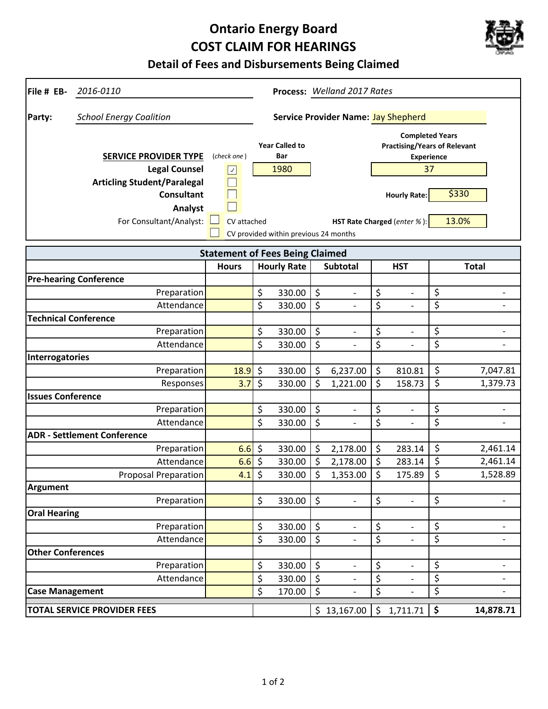# **Ontario Energy Board COST CLAIM FOR HEARINGS**



## **Detail of Fees and Disbursements Being Claimed**

| File # EB-<br>2016-0110                                                                                                                               | Process: Welland 2017 Rates                        |         |                                                                               |         |                                            |                  |                                                                                                                                                |                        |                          |
|-------------------------------------------------------------------------------------------------------------------------------------------------------|----------------------------------------------------|---------|-------------------------------------------------------------------------------|---------|--------------------------------------------|------------------|------------------------------------------------------------------------------------------------------------------------------------------------|------------------------|--------------------------|
| <b>School Energy Coalition</b><br>Party:                                                                                                              |                                                    |         |                                                                               |         | <b>Service Provider Name: Jay Shepherd</b> |                  |                                                                                                                                                |                        |                          |
| <b>SERVICE PROVIDER TYPE</b><br><b>Legal Counsel</b><br><b>Articling Student/Paralegal</b><br><b>Consultant</b><br>Analyst<br>For Consultant/Analyst: | (check one)<br>$\boxed{\checkmark}$<br>CV attached |         | <b>Year Called to</b><br>Bar<br>1980<br>CV provided within previous 24 months |         |                                            |                  | <b>Completed Years</b><br><b>Practising/Years of Relevant</b><br><b>Experience</b><br>37<br><b>Hourly Rate:</b><br>HST Rate Charged (enter %): |                        | \$330<br>13.0%           |
|                                                                                                                                                       | <b>Statement of Fees Being Claimed</b>             |         |                                                                               |         |                                            |                  |                                                                                                                                                |                        |                          |
|                                                                                                                                                       | <b>Hours</b>                                       |         | <b>Hourly Rate</b>                                                            |         | <b>Subtotal</b>                            |                  | <b>HST</b>                                                                                                                                     |                        | <b>Total</b>             |
| <b>Pre-hearing Conference</b>                                                                                                                         |                                                    |         |                                                                               |         |                                            |                  |                                                                                                                                                |                        |                          |
| Preparation                                                                                                                                           |                                                    | \$      | 330.00                                                                        | \$      | $\overline{\phantom{a}}$                   | \$               | $\qquad \qquad -$                                                                                                                              | \$                     | $\overline{\phantom{0}}$ |
| Attendance                                                                                                                                            |                                                    | \$      | 330.00                                                                        | \$      |                                            | \$               |                                                                                                                                                | \$                     | $\overline{\phantom{a}}$ |
| <b>Technical Conference</b>                                                                                                                           |                                                    |         |                                                                               |         |                                            |                  |                                                                                                                                                |                        |                          |
| Preparation                                                                                                                                           |                                                    | \$      | 330.00                                                                        | \$      | $\overline{\phantom{a}}$                   | \$               | $\overline{\phantom{0}}$                                                                                                                       | \$                     | $\overline{\phantom{0}}$ |
| Attendance                                                                                                                                            |                                                    | \$      | 330.00                                                                        | \$      |                                            | $\overline{\xi}$ |                                                                                                                                                | \$                     |                          |
| <b>Interrogatories</b>                                                                                                                                |                                                    |         |                                                                               |         |                                            |                  |                                                                                                                                                |                        |                          |
| Preparation                                                                                                                                           | 18.9                                               | \$      | 330.00                                                                        | \$      | 6,237.00                                   | \$               | 810.81                                                                                                                                         | \$                     | 7,047.81                 |
| Responses                                                                                                                                             | 3.7                                                | \$      | 330.00                                                                        | \$      | 1,221.00                                   | \$               | 158.73                                                                                                                                         | \$                     | 1,379.73                 |
| <b>Issues Conference</b>                                                                                                                              |                                                    |         |                                                                               |         |                                            |                  |                                                                                                                                                |                        |                          |
| Preparation                                                                                                                                           |                                                    | \$      | 330.00                                                                        | \$      |                                            | \$               | $\qquad \qquad -$                                                                                                                              | \$                     |                          |
| Attendance<br><b>ADR - Settlement Conference</b>                                                                                                      |                                                    | \$      | 330.00                                                                        | \$      |                                            | \$               | $\overline{\phantom{0}}$                                                                                                                       | \$                     | $\overline{\phantom{a}}$ |
| Preparation                                                                                                                                           | 6.6                                                | \$      | 330.00                                                                        | \$      | 2,178.00                                   | \$               | 283.14                                                                                                                                         | \$                     | 2,461.14                 |
| Attendance                                                                                                                                            | 6.6                                                | $\zeta$ | 330.00                                                                        | $\zeta$ | 2,178.00                                   | \$               | 283.14                                                                                                                                         | \$                     | 2,461.14                 |
| <b>Proposal Preparation</b>                                                                                                                           | 4.1                                                | \$      | 330.00                                                                        | \$      | 1,353.00                                   | \$               | 175.89                                                                                                                                         | \$                     | 1,528.89                 |
| <b>Argument</b>                                                                                                                                       |                                                    |         |                                                                               |         |                                            |                  |                                                                                                                                                |                        |                          |
| Preparation                                                                                                                                           |                                                    | \$      | 330.00                                                                        | $\zeta$ |                                            | \$               |                                                                                                                                                | $\overline{\varsigma}$ |                          |
| <b>Oral Hearing</b>                                                                                                                                   |                                                    |         |                                                                               |         |                                            |                  |                                                                                                                                                |                        |                          |
| Preparation                                                                                                                                           |                                                    | \$      | 330.00                                                                        | \$      |                                            | \$               | $\overline{\phantom{0}}$                                                                                                                       | \$                     | $\overline{\phantom{0}}$ |
| Attendance                                                                                                                                            |                                                    | \$      | 330.00                                                                        | \$      | $\overline{\phantom{a}}$                   | \$               | $\overline{\phantom{0}}$                                                                                                                       | \$                     | $\qquad \qquad -$        |
| <b>Other Conferences</b>                                                                                                                              |                                                    |         |                                                                               |         |                                            |                  |                                                                                                                                                |                        |                          |
| Preparation                                                                                                                                           |                                                    | \$      | 330.00                                                                        | \$      | $\overline{\phantom{a}}$                   | \$               | $\overline{\phantom{0}}$                                                                                                                       | \$                     | $\overline{\phantom{a}}$ |
| Attendance                                                                                                                                            |                                                    | \$      | 330.00                                                                        | $\zeta$ | $\overline{\phantom{a}}$                   | \$               | $\overline{\phantom{0}}$                                                                                                                       | \$                     | $\overline{\phantom{a}}$ |
| <b>Case Management</b>                                                                                                                                |                                                    | \$      | 170.00                                                                        | \$      |                                            | \$               | $\overline{a}$                                                                                                                                 | \$                     | $\overline{\phantom{a}}$ |
| <b>TOTAL SERVICE PROVIDER FEES</b>                                                                                                                    |                                                    |         |                                                                               |         | \$13,167.00                                | $\zeta$          | 1,711.71                                                                                                                                       | $\ddot{\bullet}$       | 14,878.71                |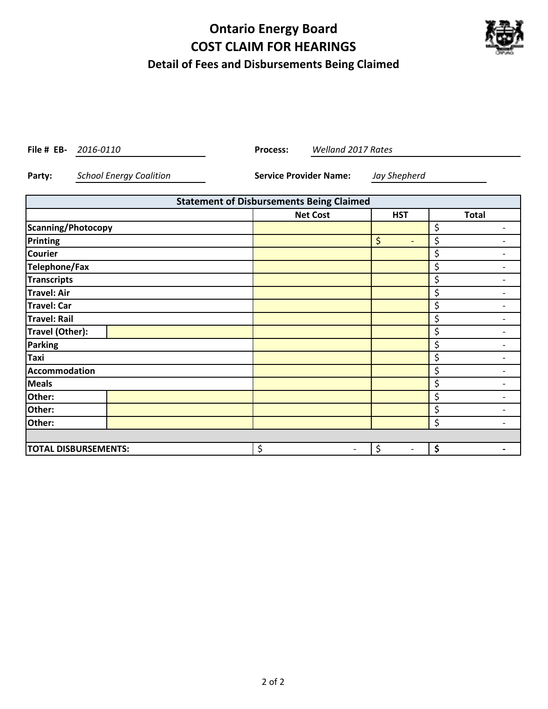# **Ontario Energy Board COST CLAIM FOR HEARINGS Detail of Fees and Disbursements Being Claimed**



**File # EB-** 2016-0110 **Process:** 

*2016‐0110 Welland 2017 Rates*

**Party:** *School Energy Coalition* **Service Provider Name:** *Jay Shepherd*

| <b>Statement of Disbursements Being Claimed</b> |                                |                                |                                |  |  |  |  |
|-------------------------------------------------|--------------------------------|--------------------------------|--------------------------------|--|--|--|--|
|                                                 | <b>Net Cost</b>                | <b>HST</b>                     | <b>Total</b>                   |  |  |  |  |
| Scanning/Photocopy                              |                                |                                | \$<br>-                        |  |  |  |  |
| Printing                                        |                                | \$<br>-                        | \$                             |  |  |  |  |
| <b>Courier</b>                                  |                                |                                | \$<br>$\overline{\phantom{0}}$ |  |  |  |  |
| <b>Telephone/Fax</b>                            |                                |                                | \$<br>-                        |  |  |  |  |
| Transcripts                                     |                                |                                | \$<br>-                        |  |  |  |  |
| <b>Travel: Air</b>                              |                                |                                | \$                             |  |  |  |  |
| <b>Travel: Car</b>                              |                                |                                | \$<br>-                        |  |  |  |  |
| Travel: Rail                                    |                                |                                | \$                             |  |  |  |  |
| Travel (Other):                                 |                                |                                | \$                             |  |  |  |  |
| <b>Parking</b>                                  |                                |                                | \$                             |  |  |  |  |
| Taxi                                            |                                |                                | \$                             |  |  |  |  |
| <b>Accommodation</b>                            |                                |                                | \$<br>-                        |  |  |  |  |
| <b>Meals</b>                                    |                                |                                | \$                             |  |  |  |  |
| Other:                                          |                                |                                | \$<br>$\overline{\phantom{0}}$ |  |  |  |  |
| Other:                                          |                                |                                | \$                             |  |  |  |  |
| Other:                                          |                                |                                | \$<br>-                        |  |  |  |  |
|                                                 |                                |                                |                                |  |  |  |  |
| <b>TOTAL DISBURSEMENTS:</b>                     | \$<br>$\overline{\phantom{a}}$ | \$<br>$\overline{\phantom{a}}$ | \$                             |  |  |  |  |